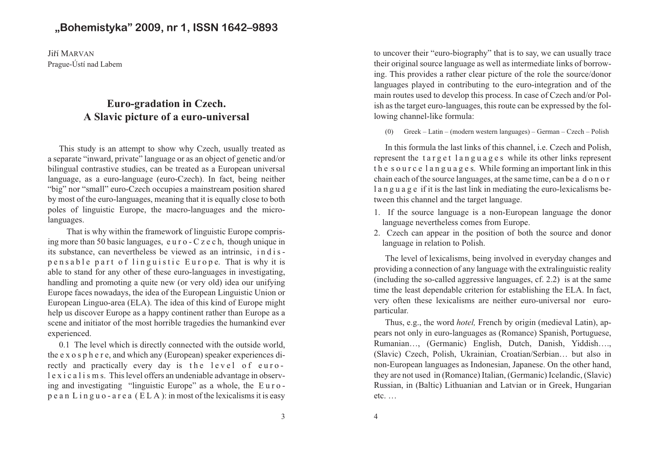# **"Bohemistyka" 2009, nr 1, ISSN 1642–9893**

Jiří MARVAN Prague-Ústí nad Labem

# **Euro-gradation in Czech.A Slavic picture of a euro-universal**

This study is an attempt to show why Czech, usually treated as <sup>a</sup> separate "inward, private" language or as an object of genetic and/or bilingual contrastive studies, can be treated as <sup>a</sup> European universal language, as <sup>a</sup> euro-language (euro-Czech). In fact, being neither "big" nor "small" euro-Czech occupies <sup>a</sup> mainstream position shared by most of the euro-languages, meaning that it is equally close to both poles of linguistic Europe, the macro-languages and the microlanguages.

That is why within the framework of linguistic Europe comprising more than 50 basic languages, <sup>e</sup> <sup>u</sup> <sup>r</sup> <sup>o</sup> - C <sup>z</sup> <sup>e</sup> <sup>c</sup> h, though unique inits substance, can nevertheless be viewed as an intrinsic, indispensable part of linguistic Europe. That is why it is able to stand for any other of these euro-languages in investigating, handling and promoting <sup>a</sup> quite new (or very old) idea our unifying Europe faces nowadays, the idea of the European Linguistic Union or European Linguo-area (ELA). The idea of this kind of Europe might help us discover Europe as <sup>a</sup> happy continent rather than Europe as <sup>a</sup> scene and initiator of the most horrible tragedies the humankind everexperienced.

0.1 The level which is directly connected with the outside world, the <sup>e</sup> <sup>x</sup> <sup>o</sup> <sup>s</sup> p h <sup>e</sup> <sup>r</sup> e, and which any (European) speaker experiences directly and practically every day is the level of euro l <sup>e</sup> <sup>x</sup> i <sup>c</sup> <sup>a</sup> l i <sup>s</sup> <sup>m</sup> s. This level offers an undeniable advantage in observ ing and investigating "linguistic Europe" as <sup>a</sup> whole, the E <sup>u</sup> <sup>r</sup> <sup>o</sup> p <sup>e</sup> <sup>a</sup> <sup>n</sup> L i <sup>n</sup> g <sup>u</sup> <sup>o</sup> - <sup>a</sup> <sup>r</sup> <sup>e</sup> <sup>a</sup> ( E L A ): in most of the lexicalisms it is easy

to uncover their "euro-biography" that is to say, we can usually trace their original source language as well as intermediate links of borrow ing. This provides <sup>a</sup> rather clear picture of the role the source/donor languages played in contributing to the euro-integration and of the main routes used to develop this process. In case of Czech and/or Pol ish as the target euro-languages, this route can be expressed by the following channel-like formula:

(0) Greek – Latin – (modern western languages) – German – Czech – Polish

In this formula the last links of this channel, i.e. Czech and Polish, represent the target languages while its other links represent <sup>t</sup> h <sup>e</sup> <sup>s</sup> <sup>o</sup> <sup>u</sup> <sup>r</sup> <sup>c</sup> <sup>e</sup> l <sup>a</sup> <sup>n</sup> g <sup>u</sup> <sup>a</sup> g <sup>e</sup> s. While forming an important link in this chain each of the source languages, at the same time, can be <sup>a</sup> d <sup>o</sup> <sup>n</sup> <sup>o</sup> <sup>r</sup>l a n g u a g e if it is the last link in mediating the euro-lexicalisms between this channel and the target language.

- 1. If the source language is <sup>a</sup> non-European language the donorlanguage nevertheless comes from Europe.
- 2. Czech can appear in the position of both the source and donorlanguage in relation to Polish.

The level of lexicalisms, being involved in everyday changes and providing <sup>a</sup> connection of any language with the extralinguistic reality (including the so-called aggressive languages, cf. 2.2) is at the same time the least dependable criterion for establishing the ELA. In fact, very often these lexicalisms are neither euro-universal nor europarticular.

Thus, e.g., the word *hotel,* French by origin (medieval Latin), ap pears not only in euro-languages as (Romance) Spanish, Portuguese, Rumanian…, (Germanic) English, Dutch, Danish, Yiddish…., (Slavic) Czech, Polish, Ukrainian, Croatian/Serbian… but also in non-European languages as Indonesian, Japanese. On the other hand, they are not used in (Romance) Italian, (Germanic) Icelandic, (Slavic) Russian, in (Baltic) Lithuanian and Latvian or in Greek, Hungarianetc. …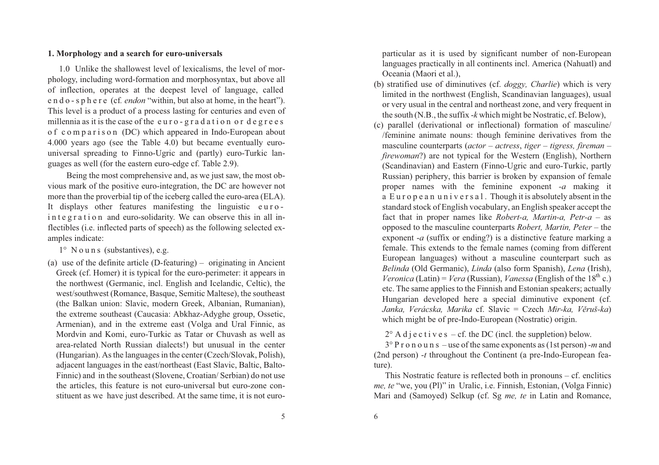#### **1. Morphology and a search for euro-universals**

1.0 Unlike the shallowest level of lexicalisms, the level of mor phology, including word-formation and morphosyntax, but above all of inflection, operates at the deepest level of language, called <sup>e</sup> <sup>n</sup> d <sup>o</sup> - <sup>s</sup> p h <sup>e</sup> <sup>r</sup> <sup>e</sup> (cf*. endon* "within, but also at home, in the heart"). This level is <sup>a</sup> product of <sup>a</sup> process lasting for centuries and even ofmillennia as it is the case of the euro-gradation or degrees <sup>o</sup> f <sup>c</sup> <sup>o</sup> <sup>m</sup> p <sup>a</sup> <sup>r</sup> i <sup>s</sup> <sup>o</sup> <sup>n</sup> (DC) which appeared in Indo-European about 4.000 years ago (see the Table 4.0) but became eventually eurouniversal spreading to Finno-Ugric and (partly) euro-Turkic languages as well (for the eastern euro-edge cf. Table 2.9).

Being the most comprehensive and, as we just saw, the most ob vious mark of the positive euro-integration, the DC are however not more than the proverbial tip of the iceberg called the euro-area (ELA). It displays other features manifesting the linguistic eurointegration and euro-solidarity. We can observe this in all inflectibles (i.e. inflected parts of speech) as the following selected examples indicate:

1° N <sup>o</sup> <sup>u</sup> <sup>n</sup> <sup>s</sup> (substantives), e.g.

(a) use of the definite article (D-featuring) – originating in Ancient Greek (cf. Homer) it is typical for the euro-perimeter: it appears in the northwest (Germanic, incl. English and Icelandic, Celtic), the west/southwest (Romance, Basque, Semitic Maltese), the southeast (the Balkan union: Slavic, modern Greek, Albanian, Rumanian), the extreme southeast (Caucasia: Abkhaz-Adyghe group, Ossetic, Armenian), and in the extreme east (Volga and Ural Finnic, as Mordvin and Komi, euro-Turkic as Tatar or Chuvash as well as area-related North Russian dialects!) but unusual in the center (Hungarian). As the languages in the center (Czech/Slovak, Polish), adjacent languages in the east/northeast (East Slavic, Baltic, Balto-Finnic) and in the southeast (Slovene, Croatian/ Serbian) do not use the articles, this feature is not euro-universal but euro-zone constituent as we have just described. At the same time, it is not europarticular as it is used by significant number of non-European languages practically in all continents incl. America (Nahuatl) andOceania (Maori et al.),

- (b) stratified use of diminutives (cf. *doggy, Charlie*) which is very limited in the northwest (English, Scandinavian languages), usual or very usual in the central and northeast zone, and very frequent inthe south (N.B., the suffix -*k* which might be Nostratic, cf. Below),
- (c) parallel (derivational or inflectional) formation of masculine/ /feminine animate nouns: though feminine derivatives from the masculine counterparts (*actor – actress*, *tiger – tigress, fireman – firewoman*?) are not typical for the Western (English), Northern (Scandinavian) and Eastern (Finno-Ugric and euro-Turkic, partly Russian) periphery, this barrier is broken by expansion of female proper names with the feminine exponen<sup>t</sup> *-a* making it a European univers al. Though it is absolutely absent in the standard stock of English vocabulary, an English speaker accep<sup>t</sup> the fact that in proper names like *Robert-a, Martin-a, Petr-a* – as opposed to the masculine counterparts *Robert, Martin, Peter* – the exponent -*a* (suffix or ending?) is <sup>a</sup> distinctive feature marking <sup>a</sup> female. This extends to the female names (coming from different European languages) without <sup>a</sup> masculine counterpart such as *Belinda* (Old Germanic), *Linda* (also form Spanish), *Lena* (Irish), *Veronica* (Latin) = *Vera* (Russian), *Vanessa* (English of the 18<sup>th</sup> c.) etc. The same applies to the Finnish and Estonian speakers; actually Hungarian developed here <sup>a</sup> special diminutive exponen<sup>t</sup> (cf. *Janka, Verácska, Marika* cf. Slavic <sup>=</sup> Czech *Mir-ka, Vìruš-ka*) which might be of pre-Indo-European (Nostratic) origin.

 $2^{\circ}$  A d j e c t i v e s – cf. the DC (incl. the suppletion) below.

3° P <sup>r</sup> <sup>o</sup> <sup>n</sup> <sup>o</sup> <sup>u</sup> <sup>n</sup> <sup>s</sup> – use of the same exponents as (1st person) -*m* and (2nd person) -*<sup>t</sup>* throughout the Continent (a pre-Indo-European feature).

 This Nostratic feature is reflected both in pronouns – cf. enclitics *me, te* "we, you (Pl)" in Uralic, i.e. Finnish, Estonian, (Volga Finnic) Mari and (Samoyed) Selkup (cf. Sg *me, te* in Latin and Romance,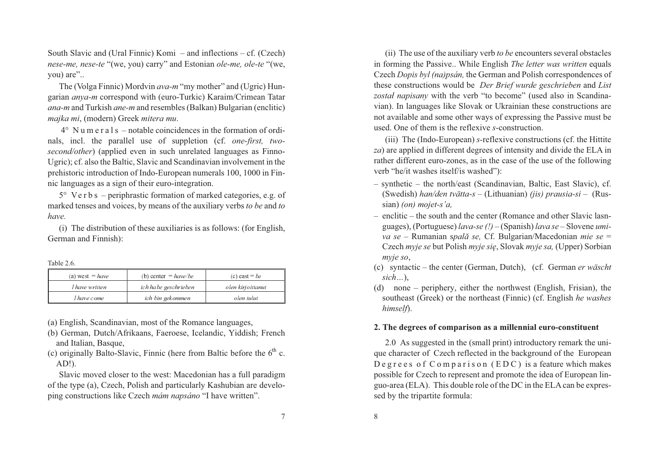South Slavic and (Ural Finnic) Komi – and inflections – cf. (Czech) *nese-me, nese-te* "(we, you) carry" and Estonian *ole-me, ole-te* "(we, you) are"..

The (Volga Finnic) Mordvin *ava-m* "my mother" and (Ugric) Hun garian *anya-m* correspond with (euro-Turkic) Karaim/Crimean Tatar *ana-m* and Turkish *ane-m* and resembles (Balkan) Bulgarian (enclitic) *majka mi*, (modern) Greek *mitera mu*.

4° N <sup>u</sup> <sup>m</sup> <sup>e</sup> <sup>r</sup> <sup>a</sup> l <sup>s</sup> – notable coincidences in the formation of ordi nals, incl. the parallel use of suppletion (cf. *one-first, twosecond/other*) (applied even in such unrelated languages as Finno-Ugric); cf. also the Baltic, Slavic and Scandinavian involvement in the prehistoric introduction of Indo-European numerals 100, 1000 in Finnic languages as a sign of their euro-integration.

 $5^\circ$  Ve r b s – periphrastic formation of marked categories, e.g. of marked tenses and voices, by means of the auxiliary verbs *to be* and *to have.*

(i) The distribution of these auxiliaries is as follows: (for English, German and Finnish):

Table 2.6.

| (a) west $= have$     | (b) center $= have/be$ | (c) east = be     |
|-----------------------|------------------------|-------------------|
| <i>I have written</i> | ich habe geschrieben   | olen kirjoittanut |
| I have come           | ich bin gekommen       | olen tulut        |

(a) English, Scandinavian, most of the Romance languages,

- (b) German, Dutch/Afrikaans, Faeroese, Icelandic, Yiddish; Frenchand Italian, Basque,
- (c) originally Balto-Slavic, Finnic (here from Baltic before the  $6<sup>th</sup>$  c. AD!).

Slavic moved closer to the west: Macedonian has <sup>a</sup> full paradigm of the type (a), Czech, Polish and particularly Kashubian are developing constructions like Czech *mám napsáno* "I have written".

(ii) The use of the auxiliary verb *to be* encounters several obstacles in forming the Passive.. While English *The letter was written* equals Czech *Dopis byl (na)psán,* the German and Polish correspondences of these constructions would be *Der Brief wurde geschrieben* and *List zosta³ napisany* with the verb "to become" (used also in Scandina vian). In languages like Slovak or Ukrainian these constructions are not available and some other ways of expressing the Passive must beused. One of them is the reflexive *<sup>s</sup>*-construction.

(iii) The (Indo-European) *s-*reflexive constructions (cf. the Hittite *za*) are applied in different degrees of intensity and divide the ELA inrather different euro-zones, as in the case of the use of the following verb "he/it washes itself/is washed"):

- synthetic the north/east (Scandinavian, Baltic, East Slavic), cf. (Swedish) *han/den tvätta-s* – (Lithuanian) *(jis) prausia-si* – (Rus sian) *(on) mojet-s'a,*
- enclitic the south and the center (Romance and other Slavic lasnguages), (Portuguese) *lava-se (!) –* (Spanish) *lava se –* Slovene *umiva se –* Rumanian <sup>s</sup>*palã se,* Cf. Bulgarian/Macedonian *mie se* = Czech *myje se* but Polish *myje siê*, Slovak *myje sa,* (Upper) Sorbian *myje so*,
- (c) syntactic the center (German, Dutch), (cf. German *er wäscht sich…*),
- (d) none periphery, either the northwest (English, Frisian), the southeast (Greek) or the northeast (Finnic) (cf. English *he washes himself*).

### **2. The degrees of comparison as a millennial euro-constituent**

2.0 As suggested in the (small print) introductory remark the uni que character of Czech reflected in the background of the European D <sup>e</sup> g <sup>r</sup> <sup>e</sup> <sup>e</sup> <sup>s</sup> <sup>o</sup> f C <sup>o</sup> <sup>m</sup> p <sup>a</sup> <sup>r</sup> i <sup>s</sup> <sup>o</sup> <sup>n</sup> ( E D C ) is <sup>a</sup> feature which makes possible for Czech to represen<sup>t</sup> and promote the idea of European lin guo-area (ELA). This double role of the DC in the ELA can be expressed by the tripartite formula: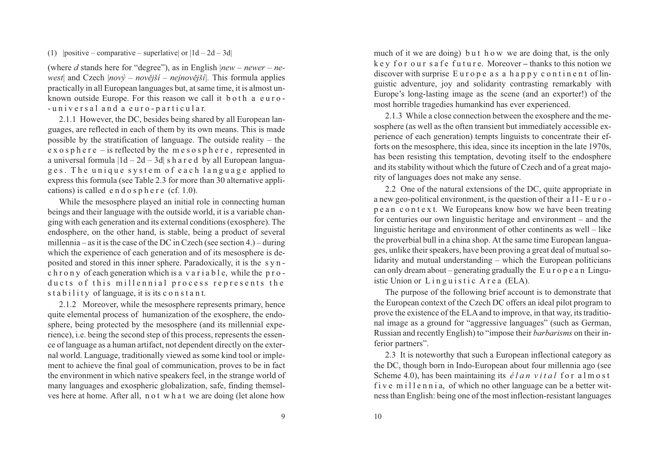(1)  $|positive - comparative - superlative | or |1d - 2d - 3d|$ 

(where*d* stands here for "degree"), as in English |*new – newer – ne west*| and Czech |*nový – novìjší – nejnovìjší|.* This formula applies practically in all European languages but, at same time, it is almost unknown outside Europe. For this reason we call it both a euro-- <sup>u</sup> <sup>n</sup> i <sup>v</sup> <sup>e</sup> <sup>r</sup> <sup>s</sup> <sup>a</sup> l <sup>a</sup> <sup>n</sup> d <sup>a</sup> <sup>e</sup> <sup>u</sup> <sup>r</sup> <sup>o</sup> - p <sup>a</sup> <sup>r</sup> <sup>t</sup> i <sup>c</sup> <sup>u</sup> l <sup>a</sup> r.

2.1.1 However, the DC, besides being shared by all European lan guages, are reflected in each of them by its own means. This is made possible by the stratification of language. The outside reality – the <sup>e</sup> <sup>x</sup> <sup>o</sup> <sup>s</sup> p h <sup>e</sup> <sup>r</sup> <sup>e</sup> – is reflected by the <sup>m</sup> <sup>e</sup> <sup>s</sup> <sup>o</sup> <sup>s</sup> p h <sup>e</sup> <sup>r</sup> <sup>e</sup> , represented in <sup>a</sup> universal formula |1d – 2d – 3d| <sup>s</sup> h <sup>a</sup> <sup>r</sup> <sup>e</sup> d by all European languages. The unique system of each language applied to express this formula (see Table 2.3 for more than 30 alternative applications) is called  $e \nvert d \nvert o \nvert s \nvert p \nvert e \nvert r \nvert (cf. 1.0).$ 

While the mesosphere played an initial role in connecting human beings and their language with the outside world, it is <sup>a</sup> variable changing with each generation and its external conditions (exosphere). The endosphere, on the other hand, is stable, being <sup>a</sup> product of several millennia – as it is the case of the DC in Czech (see section 4.) – during which the experience of each generation and of its mesosphere is de posited and stored in this inner sphere. Paradoxically, it is the <sup>s</sup> y <sup>n</sup> c h r o n y of each generation which is a v a r i a b l e, while the p r o ducts of this millennial process represents the s t a b i l i t y of language, it is its c on s t a n t.

2.1.2 Moreover, while the mesosphere represents primary, hence quite elemental process of humanization of the exosphere, the endo sphere, being protected by the mesosphere (and its millennial expe rience), i.e. being the second step of this process, represents the essen ce of language as <sup>a</sup> human artifact, not dependent directly on the exter nal world. Language, traditionally viewed as some kind tool or imple ment to achieve the final goal of communication, proves to be in fact the environment in which native speakers feel, in the strange world of many languages and exospheric globalization, safe, finding themselves here at home. After all, <sup>n</sup> <sup>o</sup> <sup>t</sup> <sup>w</sup> h <sup>a</sup> <sup>t</sup> we are doing (let alone how

much of it we are doing) but h ow we are doing that, is the only k <sup>e</sup> y f <sup>o</sup> <sup>r</sup> <sup>o</sup> <sup>u</sup> <sup>r</sup> <sup>s</sup> <sup>a</sup> f <sup>e</sup> f <sup>u</sup> <sup>t</sup> <sup>u</sup> <sup>r</sup> e. Moreover**–** thanks to this notion we discover with surprise Europe as a happy continent of lin guistic adventure, joy and solidarity contrasting remarkably with Europe's long-lasting image as the scene (and an exporter!) of themost horrible tragedies humankind has ever experienced.

2.1.3 While <sup>a</sup> close connection between the exosphere and the me sosphere (as well as the often transient but immediately accessible ex perience of each generation) tempts linguists to concentrate their ef forts on the mesosphere, this idea, since its inception in the late 1970s, has been resisting this temptation, devoting itself to the endosphere and its stability without which the future of Czech and of <sup>a</sup> grea<sup>t</sup> majority of languages does not make any sense.

2.2 One of the natural extensions of the DC, quite appropriate in <sup>a</sup> new geo-political environment, is the question of their <sup>a</sup> l l - E <sup>u</sup> <sup>r</sup> <sup>o</sup> p <sup>e</sup> <sup>a</sup> <sup>n</sup> <sup>c</sup> <sup>o</sup> <sup>n</sup> <sup>t</sup> <sup>e</sup> <sup>x</sup> t. We Europeans know how we have been treating for centuries our own linguistic heritage and environment – and the linguistic heritage and environment of other continents as well – like the proverbial bull in <sup>a</sup> china shop. At the same time European languages, unlike their speakers, have been proving <sup>a</sup> grea<sup>t</sup> deal of mutual so lidarity and mutual understanding – which the European politicians can only dream about – generating gradually the E <sup>u</sup> <sup>r</sup> <sup>o</sup> p <sup>e</sup> <sup>a</sup> <sup>n</sup> Linguistic Union or Linguistic Area (ELA).

The purpose of the following brief account is to demonstrate that the European context of the Czech DC offers an ideal pilot program to prove the existence of the ELA and to improve, in that way, its traditio nal image as <sup>a</sup> ground for "aggressive languages" (such as German, Russian and recently English) to "impose their *barbarisms* on their in ferior partners".

2.3 It is noteworthy that such <sup>a</sup> European inflectional category as the DC, though born in Indo-European about four millennia ago (see Scheme 4.0), has been maintaining its *<sup>é</sup> <sup>l</sup> <sup>a</sup> <sup>n</sup> <sup>v</sup> <sup>i</sup> <sup>t</sup> <sup>a</sup> <sup>l</sup>* <sup>f</sup> <sup>o</sup> <sup>r</sup> <sup>a</sup> <sup>l</sup> <sup>m</sup> <sup>o</sup> <sup>s</sup> <sup>t</sup> f i v e m i l l e n n i a, of which no other language can be a better witness than English: being one of the most inflection-resistant languages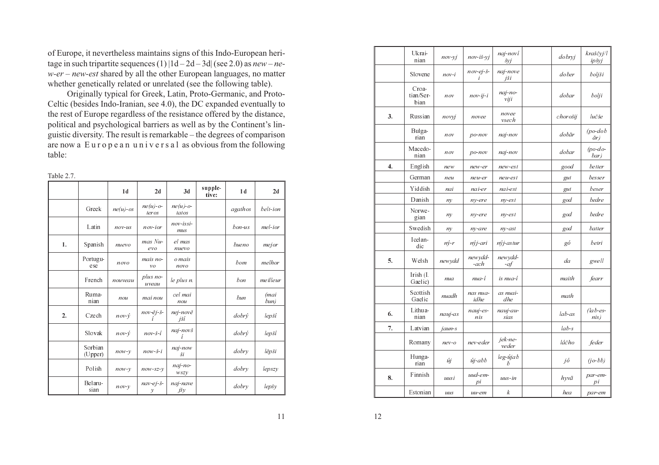of Europe, it nevertheless maintains signs of this Indo-European heri tage in such tripartite sequences (1) |1d – 2d – 3d| (see 2.0) as *new – ne w-er – new-est* shared by all the other European languages, no matterwhether genetically related or unrelated (see the following table).

 Originally typical for Greek, Latin, Proto-Germanic, and Proto-Celtic (besides Indo-Iranian, see 4.0), the DC expanded eventually to the rest of Europe regardless of the resistance offered by the distance, political and psychological barriers as well as by the Continent's lin guistic diversity. The result is remarkable – the degrees of comparison are now <sup>a</sup> E <sup>u</sup> <sup>r</sup> <sup>o</sup> p <sup>e</sup> <sup>a</sup> <sup>n</sup> <sup>u</sup> <sup>n</sup> i <sup>v</sup> <sup>e</sup> <sup>r</sup> <sup>s</sup> <sup>a</sup> l as obvious from the followingtable:

| able |  |  |  |
|------|--|--|--|
|      |  |  |  |

|    |                    | 1 <sub>d</sub> | 2d                                    | 3d                   | supple-<br>tive: | 1 <sub>d</sub> | 2d                      |
|----|--------------------|----------------|---------------------------------------|----------------------|------------------|----------------|-------------------------|
|    | Greek              | $ne(u)$ -os    | $ne(u)$ -o-<br>teros                  | $ne(u)$ -o-<br>tatos |                  | agathos        | belt-ion                |
|    | Latin              | $nov$ -us      | nov-ior                               | $nov-issi$ -<br>mus  |                  | $bon-us$       | mel-ior                 |
| 1. | Spanish            | nuevo          | $mas Nu-$<br>evo                      | el mas<br>nuevo      |                  | bueno          | mejor                   |
|    | Portugu-<br>ese    | novo           | mais no-<br>$\mathcal{V}O$            | o mais<br>novo       |                  | bom            | melhor                  |
|    | French             | nouveau        | $plus no-$<br>uveau                   | le plus n.           |                  | bon            | meilleur                |
|    | Ruma-<br>nian      | nou            | mai nou                               | cel mai<br>nou       |                  | bun            | (mai<br>$b$ <i>un</i> ) |
| 2. | Czech              | $nov-v$        | $nov - \check{e}j - \check{s}$ -<br>í | nej-nově<br>jší      |                  | dobrý          | lepší                   |
|    | Slovak             | $nov-v$        | $nov - \check{s} - i$                 | naj-novš<br>í        |                  | $dobr\dot{y}$  | lepší                   |
|    | Sorbian<br>(Upper) | $now-y$        | $now -5-i$                            | $naj-now$<br>ši      |                  | dobry          | lěpši                   |
|    | Polish             | $now-y$        | $now$ -sz- $v$                        | $naj-no-$<br>wszy    |                  | dobry          | lepszy                  |
|    | Belaru-<br>sian    | $nov-y$        | $nav-ej-\tilde{s}$ -<br>у             | naj-nave<br>jšy      |                  | dobry          | lepšy                   |

|    | Ukrai-<br>nian             | $nov-yj$        | $nov-i\check{s}-yj$        | naj-noví<br>šyj    | dobryj    | kraščyj/l<br>ip šyj   |
|----|----------------------------|-----------------|----------------------------|--------------------|-----------|-----------------------|
|    | Slovene                    | $nov-i$         | $nov-ej-\check{s}$ -<br>i  | naj-nove<br>jši    | dober     | boljši                |
|    | Croa-<br>tian/Ser-<br>bian | nov             | $nov - ij - i$             | $naj-no-$<br>vii   | dobar     | bolji                 |
| 3. | Russian                    | novyj           | novee                      | novee<br>vsech     | chorošij  | lučše                 |
|    | Bulga-<br>rian             | nov             | $po-nov$                   | naj-nov            | dobăr     | $(po$ -dob<br>ăr)     |
|    | Macedo-<br>nian            | nov             | $po-nov$                   | naj-nov            | dobar     | $(po$ -do-<br>bar)    |
| 4. | English                    | new             | new-er                     | new-est            | good      | better                |
|    | German                     | neu             | neu-er                     | neu-est            | gut       | be sser               |
|    | Yiddish                    | nai             | nai-er                     | nai-est            | gut       | beser                 |
|    | Danish                     | ny              | ny-ere                     | $ny$ - $est$       | god       | bedre                 |
|    | Norwe-<br>gian             | ny              | ny-ere                     | $ny$ - $est$       | god       | bedre                 |
|    | Swedish                    | ny              | ny-are                     | $ny$ - $ast$       | god       | batter                |
|    | Icelan-<br>dic             | $n\acute{v}$ -r | nýj-ari                    | nýj-astur          | gó        | betri                 |
| 5. | <b>Welsh</b>               | newydd          | newydd-<br>-ach            | newydd-<br>-af     | da        | gwell                 |
|    | Irish (I.<br>Gaelic)       | nua             | nua-í                      | is nua-í           | maith     | fearr                 |
|    | Scottish<br>Gaelic         | nuadh           | nas nua-<br>idhe           | as nuai-<br>dhe    | math      |                       |
| 6. | Lithua-<br>nian            | nauj-as         | nauj-es-<br>nis            | nauj-au-<br>sias   | lab-as    | $\int$ ab-es-<br>nis) |
| 7. | Latvian                    | jaun-s          |                            |                    | $lab - s$ |                       |
|    | Romany                     | $nev-o$         | nev-eder                   | $jek-ne-$<br>veder | láčho     | feder                 |
|    | Hunga-<br>rian             | új              | $\dot{u}$ <i>j</i> - $abb$ | $leg-újab$<br>h    | jó        | $(i o-b b)$           |
| 8. | Finnish                    | uusi            | uud-em-<br>pi              | uus-in             | hyvä      | par-em-<br>pi         |
|    | Estonian                   | uus             | $uu$ -e $m$                | $\boldsymbol{k}$   | hea       | par-em                |

 $11$  12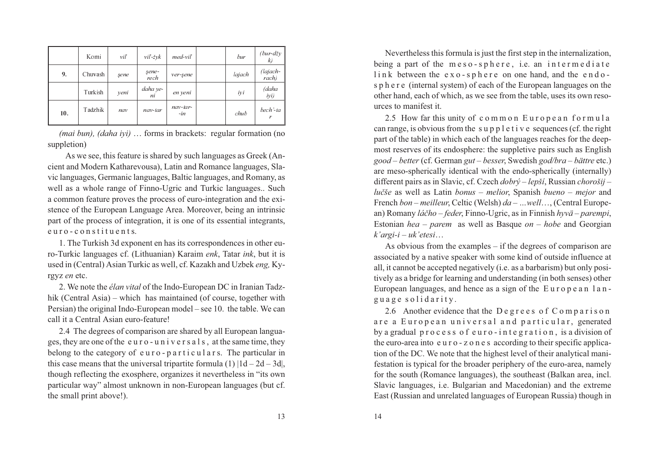|     | Komi    | vil  | $vil-zvk$      | $med$ -viľ        | bur    | $(bur-dzv)$<br>k) |
|-----|---------|------|----------------|-------------------|--------|-------------------|
| 9.  | Chuvash | sene | şene-<br>re ch | ver-sene          | lajach | (lajach-<br>rach) |
|     | Turkish | yeni | daha ye-<br>ni | en yeni           | iyi    | (daha<br>iyi)     |
| 10. | Tadzhik | nav  | nav-tar        | nav-tar-<br>$-in$ | chub   | bech'-ta          |

*(mai bun), (daha iyi)* … forms in brackets: regular formation (nosuppletion)

As we see, this feature is shared by such languages as Greek (An cient and Modern Katharevousa), Latin and Romance languages, Sla vic languages, Germanic languages, Baltic languages, and Romany, as well as <sup>a</sup> whole range of Finno-Ugric and Turkic languages.. Such <sup>a</sup> common feature proves the process of euro-integration and the exi stence of the European Language Area. Moreover, being an intrinsic par<sup>t</sup> of the process of integration, it is one of its essential integrants, euro-constituents.

1. The Turkish 3d exponen<sup>t</sup> en has its correspondences in other euro-Turkic languages cf. (Lithuanian) Karaim *enk*, Tatar *ink*, but it is used in (Central) Asian Turkic as well, cf. Kazakh and Uzbek *eng,* Ky rgyz *en* etc.

2. We note the *élan vital* of the Indo-European DC in Iranian Tadz hik (Central Asia) – which has maintained (of course, together with Persian) the original Indo-European model – see 10. the table. We cancall it a Central Asian euro-feature!

2.4 The degrees of comparison are shared by all European langua ges, they are one of the <sup>e</sup> <sup>u</sup> <sup>r</sup> <sup>o</sup> - <sup>u</sup> <sup>n</sup> i <sup>v</sup> <sup>e</sup> <sup>r</sup> <sup>s</sup> <sup>a</sup> l <sup>s</sup> , at the same time, they belong to the category of <sup>e</sup> <sup>u</sup> <sup>r</sup> <sup>o</sup> - p <sup>a</sup> <sup>r</sup> <sup>t</sup> i <sup>c</sup> <sup>u</sup> l <sup>a</sup> <sup>r</sup> s. The particular inthis case means that the universal tripartite formula  $(1)$   $|1d - 2d - 3d|$ , though reflecting the exosphere, organizes it nevertheless in "its own particular way" almost unknown in non-European languages (but cf. the small print above!).

Nevertheless this formula is just the first step in the internalization, being a part of the meso-sphere, i.e. an intermediate link between the exo-sphere on one hand, and the endo <sup>s</sup> p h <sup>e</sup> <sup>r</sup> <sup>e</sup> (internal system) of each of the European languages on the other hand, each of which, as we see from the table, uses its own resources to manifest it.

2.5 How far this unity of common European formula can range, is obvious from the <sup>s</sup> <sup>u</sup> p p l <sup>e</sup> <sup>t</sup> i <sup>v</sup> <sup>e</sup> sequences (cf. the right par<sup>t</sup> of the table) in which each of the languages reaches for the deep most reserves of its endosphere: the suppletive pairs such as English *good – better* (cf. German *gu<sup>t</sup> – besser*, Swedish *god/bra – bättre* etc.) are meso-spherically identical with the endo-spherically (internally) different pairs as in Slavic, cf. Czech *dobrý – lepší*, Russian *chorošij – luèše* as well as Latin *bonus – melior*, Spanish *bueno – mejor* and French *bon – meilleur*, Celtic (Welsh) *da – …well*…, (Central European) Romany *láèho – feder*, Finno-Ugric, as in Finnish *hyvä – parempi*, Estonian *hea – parem* as well as Basque *on – hobe* and Georgian *k'argi-i*– *uk'etesi* …

 As obvious from the examples – if the degrees of comparison are associated by <sup>a</sup> native speaker with some kind of outside influence at all, it cannot be accepted negatively (i.e. as <sup>a</sup> barbarism) but only posi tively as <sup>a</sup> bridge for learning and understanding (in both senses) otherEuropean languages, and hence as a sign of the European language solidarity.

2.6 Another evidence that the Degrees of Comparison are a European universal and particular, generated by <sup>a</sup> gradual p <sup>r</sup> <sup>o</sup> <sup>c</sup> <sup>e</sup> <sup>s</sup> <sup>s</sup> <sup>o</sup> f <sup>e</sup> <sup>u</sup> <sup>r</sup> <sup>o</sup> - i <sup>n</sup> <sup>t</sup> <sup>e</sup> g <sup>r</sup> <sup>a</sup> <sup>t</sup> i <sup>o</sup> <sup>n</sup> , is <sup>a</sup> division of the euro-area into <sup>e</sup> <sup>u</sup> <sup>r</sup> <sup>o</sup> - <sup>z</sup> <sup>o</sup> <sup>n</sup> <sup>e</sup> <sup>s</sup> according to their specific applica tion of the DC. We note that the highest level of their analytical mani festation is typical for the broader periphery of the euro-area, namely for the south (Romance languages), the southeast (Balkan area, incl. Slavic languages, i.e. Bulgarian and Macedonian) and the extremeEast (Russian and unrelated languages of European Russia) though in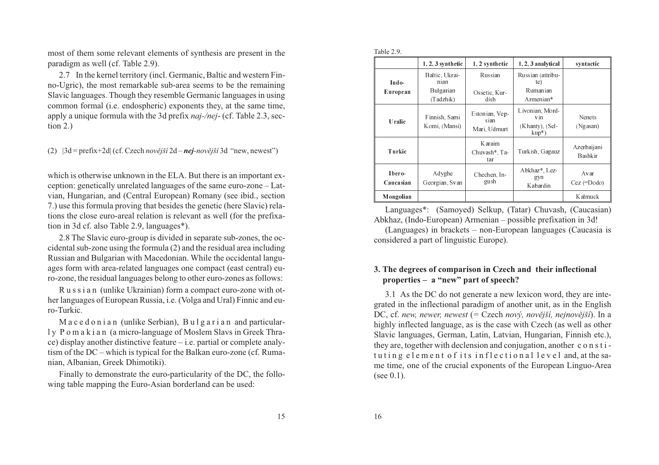most of them some relevant elements of synthesis are presen<sup>t</sup> in theparadigm as well (cf. Table 2.9).

2.7 In the kernel territory (incl. Germanic, Baltic and western Fin no-Ugric), the most remarkable sub-area seems to be the remaining Slavic languages. Though they resemble Germanic languages in using common formal (i.e. endospheric) exponents they, at the same time, apply a unique formula with the 3d prefix *naj-/nej*- (cf. Table 2.3, sec-<br>tion 2.)

(2)  $|3d = prefix + 2d| (cf. Czech *novější* 2d – *nej-novější* 3d "new, newest")$ 

which is otherwise unknown in the ELA. But there is an important ex ception: genetically unrelated languages of the same euro-zone – Lat vian, Hungarian, and (Central European) Romany (see ibid., section 7.) use this formula proving that besides the genetic (here Slavic) relations the close euro-areal relation is relevant as well (for the prefixation in 3d cf. also Table 2.9, languages\*).

2.8 The Slavic euro-group is divided in separate sub-zones, the occidental sub-zone using the formula (2) and the residual area including Russian and Bulgarian with Macedonian. While the occidental langu ages form with area-related languages one compac<sup>t</sup> (east central) euro-zone, the residual languages belong to other euro-zones as follows:

R <sup>u</sup> <sup>s</sup> <sup>s</sup> i <sup>a</sup> <sup>n</sup> (unlike Ukrainian) form <sup>a</sup> compac<sup>t</sup> euro-zone with ot her languages of European Russia, i.e. (Volga and Ural) Finnic and euro-Turkic.

M a c e d o n i a n (unlike Serbian), B u l g a r i a n and particular l y P <sup>o</sup> <sup>m</sup> <sup>a</sup> k i <sup>a</sup> <sup>n</sup> (a micro-language of Moslem Slavs in Greek Thra ce) display another distinctive feature – i.e. partial or complete analy tism of the DC – which is typical for the Balkan euro-zone (cf. Rumanian, Albanian, Greek Dhimotiki).

Finally to demonstrate the euro-particularity of the DC, the following table mapping the Euro-Asian borderland can be used:

| able |  |  |
|------|--|--|
|      |  |  |

|                     | $1, 2, 3$ synthetic            | 1, 2 synthetic                         | 1, 2, 3 analytical                                                 | syntactic                 |
|---------------------|--------------------------------|----------------------------------------|--------------------------------------------------------------------|---------------------------|
| Indo-               | Baltic, Ukrai-<br>nian         | Russian                                | Russian (attribu-<br>te)                                           |                           |
| European            | Bulgarian<br>(Tadzhik)         | Ossetic, Kur-<br>dish                  | Rumanian<br>Armenian*                                              |                           |
| Uralic              | Finnish, Sami<br>Komi, (Mansi) | Estonian, Vep-<br>sian<br>Mari, Udmurt | Livonian, Mord-<br>v <sub>1</sub> n<br>(Khanty), (Sel-<br>$kup^*)$ | <b>Nenets</b><br>(Ngasan) |
| Turkic              |                                | K araim<br>Chuvash*, Ta-<br>tar        | Turkish, Gagauz                                                    | Azerbaijani<br>Bashkir    |
| Ibero-<br>Caucasian | Adyghe<br>Georgian, Svan       | Chechen, In-<br>gush                   | Abkhaz*, Lez-<br>gyn<br>Kabardin                                   | Avar<br>$Cez (=Dodo)$     |
| Mongolian           |                                |                                        |                                                                    | <b>Kalmuck</b>            |

Languages\*: (Samoyed) Selkup, (Tatar) Chuvash, (Caucasian)Abkhaz, (Indo-European) Armenian – possible prefixation in 3d!

 (Languages) in brackets – non-European languages (Caucasia isconsidered a part of linguistic Europe).

## **3. The degrees of comparison in Czech and their inflectionalproperties – a "new" part of speech?**

3.1 As the DC do not generate <sup>a</sup> new lexicon word, they are inte grated in the inflectional paradigm of another unit, as in the EnglishDC, cf. *new, newer, newest* (= Czech *nový, novější, nejnovější*). In a <br>
ideologie ale postavené politik (ale politik de la politik de la politik de la politik de la politik de la po highly inflected language, as is the case with Czech (as well as other Slavic languages, German, Latin, Latvian, Hungarian, Finnish etc.), they are, together with declension and conjugation, another <sup>c</sup> <sup>o</sup> <sup>n</sup> <sup>s</sup> <sup>t</sup> i tuting element of its inflectional level and, at the sa me time, one of the crucial exponents of the European Linguo-Area(see 0.1).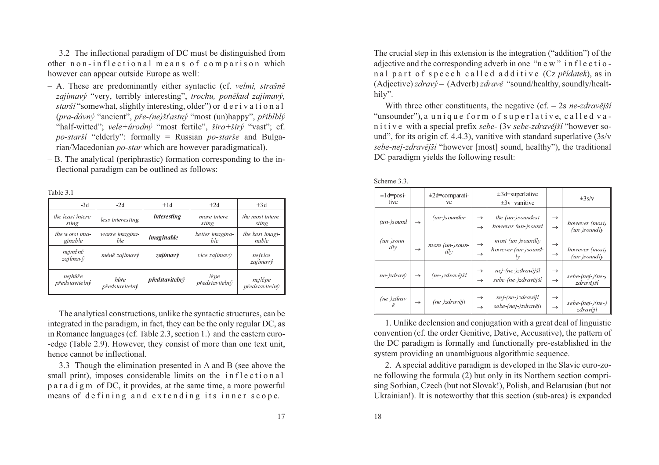3.2 The inflectional paradigm of DC must be distinguished from other <sup>n</sup> <sup>o</sup> <sup>n</sup> - i <sup>n</sup> f l <sup>e</sup> <sup>c</sup> <sup>t</sup> i <sup>o</sup> <sup>n</sup> <sup>a</sup> l <sup>m</sup> <sup>e</sup> <sup>a</sup> <sup>n</sup> <sup>s</sup> <sup>o</sup> f <sup>c</sup> <sup>o</sup> <sup>m</sup> p <sup>a</sup> <sup>r</sup> i <sup>s</sup> <sup>o</sup> <sup>n</sup> whichhowever can appear outside Europe as well:

- A. These are predominantly either syntactic (cf. *velmi, strašnì zajímavý* "very, terribly interesting", *trochu, ponìkud zajímavý, starší* "somewhat, slightly interesting, older") or d <sup>e</sup> <sup>r</sup> i <sup>v</sup> <sup>a</sup> <sup>t</sup> i <sup>o</sup> <sup>n</sup> <sup>a</sup> l (*pra-dávný* "ancient", *<sup>p</sup>øe-(ne)š•astný* "most (un)happy", *<sup>p</sup>øiblblý* "half-witted"; *vele+úrodný* "most fertile", *širo+širý* "vast"; cf. *po-starší* "elderly": formally <sup>=</sup> Russian *po-starše* and Bulgarian/Macedonian *po-star* which are however paradigmatical).
- B. The analytical (periphrastic) formation corresponding to the inflectional paradigm can be outlined as follows:

| r<br>٦. | ı٣ |  |
|---------|----|--|
|         |    |  |

| $-3d$                      | $-2d$                  | $+1d$          | $+2d$                  | $+3d$                     |
|----------------------------|------------------------|----------------|------------------------|---------------------------|
| the least intere-<br>sting | less interesting       | interesting    | more intere-<br>stin g | the most intere-<br>sting |
| the worst ima-<br>ginable  | worse imagina-<br>ble  | imaginable     | better imagina-<br>ble | the best imagi-<br>nable  |
| nejméně<br>zajímavý        | méně zajímavý          | zajímavý       | více zajímavý          | nejvíce<br>zajímavý       |
| nejhůře<br>představitelný  | hůře<br>představitelný | představitelný | lépe<br>představitelný | nejlépe<br>představitelný |

The analytical constructions, unlike the syntactic structures, can be integrated in the paradigm, in fact, they can be the only regular DC, as in Romance languages (cf. Table 2.3, section 1.) and the eastern euro- -edge (Table 2.9). However, they consist of more than one text unit, hence cannot be inflectional.

3.3 Though the elimination presented in A and B (see above thesmall print), imposes considerable limits on the inflectional p <sup>a</sup> <sup>r</sup> <sup>a</sup> d i g <sup>m</sup> of DC, it provides, at the same time, <sup>a</sup> more powerfulmeans of defining and extending its inner scope.

17 18

The crucial step in this extension is the integration ("addition") of the adjective and the corresponding adverb in one "n <sup>e</sup> <sup>w</sup> " i <sup>n</sup> f l <sup>e</sup> <sup>c</sup> <sup>t</sup> i <sup>o</sup> <sup>n</sup> <sup>a</sup> l p <sup>a</sup> <sup>r</sup> <sup>t</sup> <sup>o</sup> f <sup>s</sup> p <sup>e</sup> <sup>e</sup> <sup>c</sup> h <sup>c</sup> <sup>a</sup> l l <sup>e</sup> d <sup>a</sup> d d i <sup>t</sup> i <sup>v</sup> <sup>e</sup> (Cz *<sup>p</sup>øídatek*), as in(Adjective) *zdravý* – (Adverb) *zdravě* "sound/healthy, soundly/healt-<br>hily".

With three other constituents, the negative (cf. – 2s *ne-zdravější* "unsounder"), <sup>a</sup> <sup>u</sup> <sup>n</sup> i q <sup>u</sup> <sup>e</sup> f <sup>o</sup> <sup>r</sup> <sup>m</sup> <sup>o</sup> f <sup>s</sup> <sup>u</sup> p <sup>e</sup> <sup>r</sup> l <sup>a</sup> <sup>t</sup> i <sup>v</sup> e, <sup>c</sup> <sup>a</sup> l l <sup>e</sup> d <sup>v</sup> <sup>a</sup> n i t i v e with a special prefix sebe- $(3v \, sebe-zdrav\check{e}j\check{s}i$  "however so*und*", for its origin cf. 4.4.3), vanitive with standard superlative (3s/v *sebe-nej-zdravější* "however [most] sound, healthy"), the traditional DC paradigm yields the following result:

| $\pm 1d = posi$<br>tive |               | $\pm 2d$ =comparati-<br>ve |                                | $\pm 3d$ =superlative<br>$\pm 3v$ = vanitive   |                                | $\pm 3s/v$                       |
|-------------------------|---------------|----------------------------|--------------------------------|------------------------------------------------|--------------------------------|----------------------------------|
| $(un-)sound$            | $\rightarrow$ | (un-)sounder               | $\rightarrow$<br>$\rightarrow$ | the (un-)soundest<br>however (un-)sound        | $\rightarrow$<br>$\rightarrow$ | however (most)<br>$(un-)soundly$ |
| $(un-)soun-$<br>dlv     | $\rightarrow$ | more (un-)soun-<br>$d\nu$  | $\rightarrow$<br>$\rightarrow$ | most (un-)soundly<br>however (un-)sound-<br>lv | $\rightarrow$<br>$\rightarrow$ | however (most)<br>$(un-)soundly$ |
| ne-)zdravý              | $\rightarrow$ | (ne-)zdravější             | $\rightarrow$<br>$\rightarrow$ | nej-(ne-)zdravější<br>se be - (ne -)zdravější  | $\rightarrow$<br>$\rightarrow$ | $sebe-(nej-)(ne-)$<br>zdravější  |
| $(ne$ -)zdrav<br>ě      | $\rightarrow$ | (ne-)zdravěji              | $\rightarrow$<br>$\rightarrow$ | nej-(ne-)zdravěji<br>se be-(nej-)zdravěji      | $\rightarrow$<br>$\rightarrow$ | $sebe-(nej-)(ne-)$<br>zdravěji   |

1. Unlike declension and conjugation with <sup>a</sup> grea<sup>t</sup> deal of linguistic convention (cf. the order Genitive, Dative, Accusative), the pattern of the DC paradigm is formally and functionally pre-established in thesystem providing an unambiguous algorithmic sequence.

2. A special additive paradigm is developed in the Slavic euro-zo ne following the formula (2) but only in its Northern section compri sing Sorbian, Czech (but not Slovak!), Polish, and Belarusian (but notUkrainian!). It is noteworthy that this section (sub-area) is expanded

Scheme 3.3.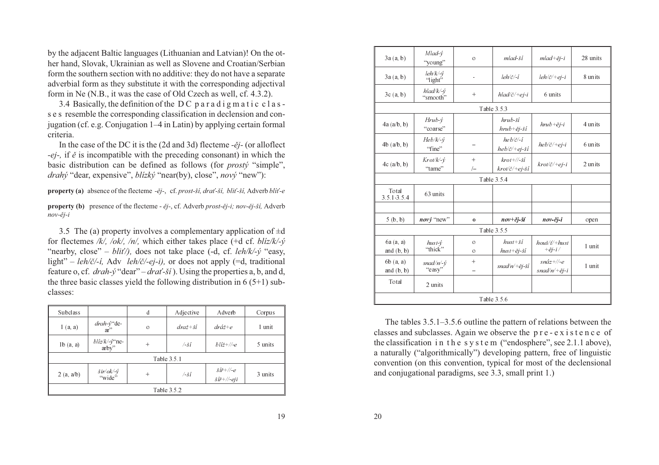by the adjacent Baltic languages (Lithuanian and Latvian)! On the ot her hand, Slovak, Ukrainian as well as Slovene and Croatian/Serbian form the southern section with no additive: they do not have <sup>a</sup> separate adverbial form as they substitute it with the corresponding adjectivalform in Ne (N.B., it was the case of Old Czech as well, cf. 4.3.2).

 3.4 Basically, the definition of the D C p <sup>a</sup> <sup>r</sup> <sup>a</sup> d i g <sup>m</sup> <sup>a</sup> <sup>t</sup> i <sup>c</sup> <sup>c</sup> l <sup>a</sup> <sup>s</sup> <sup>s</sup> <sup>e</sup> <sup>s</sup> resemble the corresponding classification in declension and con jugation (cf. e.g. Conjugation 1–4 in Latin) by applying certain formalcriteria.

In the case of the DC it is the (2d and 3d) flecteme *-ěj*- (or alloflect *-ej-,* if*ì* is incompatible with the preceding consonant) in which the basic distribution can be defined as follows (for *prostý* "simple", *drahý* "dear, expensive", *blízký* "near(by), close", *nový* "new"):

**property (a)** absence of the flecteme *-ìj-*, cf. *prost-ší, draž-ší, bliž-ší,* Adverb *blíž-e*

**property (b)** presence of the flecteme - *ìj-*, cf. Adverb *prost-ìj-i; nov-ìj-ší,* Adverb *nov-ìj-i*

3.5 The (a) property involves a complementary application of  $\pm d$  for flectemes */k/, /ok/, /n/,* which either takes <sup>p</sup>lace (+d cf. *blíz/k/-ý* "nearby, close" – *bliž/),* does not take <sup>p</sup>lace (-d, cf. *leh/k/-ý* "easy, light" – *leh/è/-í,* Adv *leh/è/-ej-i),* or does not apply (=d, traditional feature o, cf. *drah-y* "dear" – *dra* - *ší* ). Using the properties a, b, and d, the three basic classes yield the following distribution in  $6(5+1)$  subclasses:

| <b>Subclass</b> |                                            | d       | Adjective                   | Adverb                                                              | Corpus  |  |  |  |
|-----------------|--------------------------------------------|---------|-----------------------------|---------------------------------------------------------------------|---------|--|--|--|
| 1(a, a)         | $\frac{drah \cdot y}{ar}$ de               | $\circ$ | $dra\check{z} + \check{si}$ | $dr\acute{a}\check{z}$ +e                                           | 1 unit  |  |  |  |
| 1b(a, a)        | $b$ líz/k/-y <sup>**</sup> ne-<br>$arby$ " | $+$     | $-\check{si}$               | $bli\check{z} + \mathbb{N}\text{-}e$                                | 5 units |  |  |  |
|                 |                                            |         | Table 3.5.1                 |                                                                     |         |  |  |  |
| 2(a, a/b)       | $\frac{\dot{s}}{v}$<br>"wide"              | $+$     | $/$ -ší                     | $\delta t\tilde{r}$ +//-e<br>$\check{s}\check{u} + \mathbf{w}$ -eji | 3 units |  |  |  |
|                 | Table 3.5.2                                |         |                             |                                                                     |         |  |  |  |

| 3a(a, b)                  | $Mlad-v$<br>"young"                                  | $\circ$             | mlad-ší                                                     | $mlad + \check{e}j - i$                        | 28 units |  |  |
|---------------------------|------------------------------------------------------|---------------------|-------------------------------------------------------------|------------------------------------------------|----------|--|--|
| 3a(a, b)                  | $\text{leh}/\text{k}'$ - $\dot{\text{v}}$<br>"light" | ÷,                  | $\frac{1}{e}h/\check{c}/-i$                                 | $\frac{1}{e}h/\check{c}/+ej-i$                 | 8 units  |  |  |
| 3c(a, b)                  | $hlad/k/-\hat{y}$<br>"smooth"                        | $+$                 | $hlad/č/+ej-i$                                              | 6 units                                        |          |  |  |
|                           |                                                      |                     | Table 3.5.3                                                 |                                                |          |  |  |
| 4a(a/b, b)                | $H\nu b - \dot{y}$<br>"coarse"                       |                     | $h\nu b - \check{s}i$<br>$h\nu b + \check{e}j - \check{s}i$ | $h\nu b + \check{e}j - i$                      | 4 units  |  |  |
| $4b$ ( $a/b, b$ )         | $Heb/k/\psi$<br>"fine"                               |                     | $heb/\check{c}'-i$<br>$heb/\check{c}$ /+ej-ší               | $heb/\check{c}$ /+ej-i                         | 6 units  |  |  |
| $4c$ (a/b, b)             | $Krot/k$ - $\acute{\nu}$<br>"tame"                   | $+$<br>$\sqrt{}$    | $krot+/\sqrt{-5}i$<br>$krot\check{c}$ /+ej-ší               | $krot/\check{c}$ /+ej-i                        | 2 units  |  |  |
|                           |                                                      |                     | Table 3.5.4                                                 |                                                |          |  |  |
| Total<br>3.5 1 3.5 4      | 63 units                                             |                     |                                                             |                                                |          |  |  |
|                           |                                                      |                     |                                                             |                                                |          |  |  |
| 5(b, b)                   | $nový$ "new"                                         | $\Omega$            | $nov+ěj-ší$                                                 | $nov$ -ěj-i                                    | open     |  |  |
|                           |                                                      |                     | Table 3.5.5                                                 |                                                |          |  |  |
| 6a (a, a)<br>and $(b, b)$ | $hust-v$<br>"thick"                                  | $\circ$<br>$\Omega$ | $hust + ši$<br>$hust + \check{e}j - \check{si}$             | $hou\check{s}/t/+hust$<br>$+ \check{e}j$ -i/   | 1 unit   |  |  |
| 6b(a, a)<br>and $(b, b)$  | $snad/n/-\dot{v}$<br>"easy"                          | $+$                 | $snad/n/+ěj-ší$                                             | $sn\acute{a}z$ +//-e<br>$snad/n/+\check{e}j-i$ | 1 unit   |  |  |
| Total                     | 2 units                                              |                     |                                                             |                                                |          |  |  |
|                           | Table 3.5.6                                          |                     |                                                             |                                                |          |  |  |

The tables 3.5.1–3.5.6 outline the pattern of relations between the classes and subclasses. Again we observe the p <sup>r</sup> <sup>e</sup> - <sup>e</sup> <sup>x</sup> i <sup>s</sup> <sup>t</sup> <sup>e</sup> <sup>n</sup> <sup>c</sup> <sup>e</sup> ofthe classification in the system ("endosphere", see 2.1.1 above), <sup>a</sup> naturally ("algorithmically") developing pattern, free of linguistic convention (on this convention, typical for most of the declensionaland conjugational paradigms, see 3.3, small print 1.)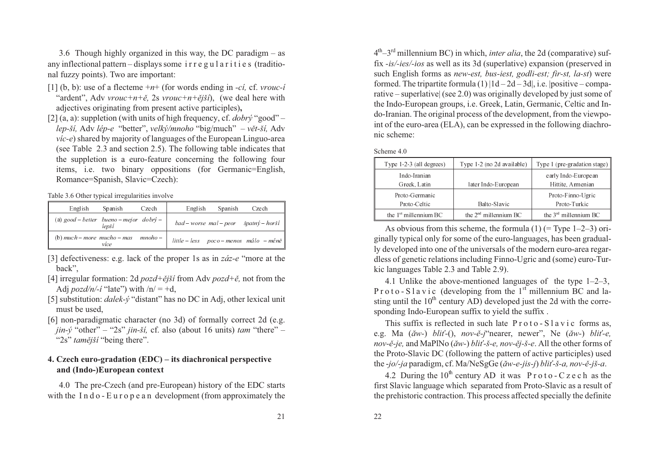3.6 Though highly organized in this way, the DC paradigm – as any inflectional pattern – displays some i <sup>r</sup> <sup>r</sup> <sup>e</sup> g <sup>u</sup> l <sup>a</sup> <sup>r</sup> i <sup>t</sup> i <sup>e</sup> <sup>s</sup> (traditional fuzzy points). Two are important:

- [1] (b, b): use of <sup>a</sup> flecteme <sup>+</sup>*<sup>n</sup>*<sup>+</sup> (for words ending in *-cí,* cf. *vrouc-í* "ardent", Adv *vrouc+n+ě*, 2s *vrouc+n+ější*), (we deal here with adjectives originating from present active participles)**,**
- [2] (a, a): suppletion (with units of high frequency, cf. *dobrý* "good" – *lep-ší,* Adv *lép-e* "better", *velký/mnoho* "big/much" – *vìt-ší,* Adv *víc-e*) shared by majority of languages of the European Linguo-area (see Table 2.3 and section 2.5). The following table indicates that the suppletion is <sup>a</sup> euro-feature concerning the following four items, i.e. two binary oppositions (for Germanic=English, Romance=Spanish, Slavic=Czech):

Table 3.6 Other typical irregularities involve

| English<br>Spanish<br>Czech                        | English<br>Spanish<br>Czech                         |
|----------------------------------------------------|-----------------------------------------------------|
| (a) good – better bueno – mejor dobrý –  <br>levší | $bad-worse$ mal - peor $\v{s}path \t{y}-hor \t{si}$ |
| (b) much – more mucho – mas mnoho – $ $<br>více    | little - less poco - menos málo - méně              |

- [3] defectiveness: e.g. lack of the proper 1s as in *záz-e* "more at the back",
- [4] irregular formation: 2d *pozd+ìjší* from Adv *pozd+ì,* not from the Adj *pozd/n/-í* "late") with /n/ = +d,
- [5] substitution: *dalek-ý* "distant" has no DC in Adj, other lexical unit must be used,
- [6] non-paradigmatic character (no 3d) of formally correct 2d (e.g. *jin-ý* "other" – "2s" *jin-ší,* cf. also (about <sup>16</sup> units) *tam* "there" – "2s" *tamější* "being there".

# **4. Czech euro-gradation (EDC) – its diachronical perspectiveand (Indo-)European context**

4.0 The pre-Czech (and pre-European) history of the EDC startswith the I <sup>n</sup> d <sup>o</sup> - E <sup>u</sup> <sup>r</sup> <sup>o</sup> p <sup>e</sup> <sup>a</sup> <sup>n</sup> development (from approximately the

<sup>4</sup>th–3rd millennium BC) in which, *inter alia*, the 2d (comparative) suf fix *-is/-ies/-ios* as well as its 3d (superlative) expansion (preserved in such English forms as *new-est, bus-iest, godli-est; fir-st, la-st*) were formed. The tripartite formula (1) |1d – 2d – 3d|, i.e. |positive – compa rative – superlative| (see 2.0) was originally developed by just some of the Indo-European groups, i.e. Greek, Latin, Germanic, Celtic and In do-Iranian. The original process of the development, from the viewpo int of the euro-area (ELA), can be expressed in the following diachronic scheme:

| Type $1-2-3$ (all degrees) | Type 1-2 (no 2d available) | Type 1 (pre-gradation stage) |
|----------------------------|----------------------------|------------------------------|
| Indo-Iranian               |                            | early Indo-European          |
| Greek, Latin               | later Indo-European        | Hittite, Armenian            |
| Proto-Germanic             |                            | Proto-Finno-Ugric            |
| Proto-Celtic               | Balto-Slavic               | Proto-Turkic                 |
| the $1st$ millennium BC    | the $2nd$ millennium BC    | the $3rd$ millennium BC      |

As obvious from this scheme, the formula  $(1)$  (= Type 1–2–3) originally typical only for some of the euro-languages, has been gradually developed into one of the universals of the modern euro-area regardless of genetic relations including Finno-Ugric and (some) euro-Turkic languages Table 2.3 and Table 2.9).

4.1 Unlike the above-mentioned languages of the type 1–2–3, P r o t o - S l a v i c (developing from the  $1<sup>st</sup>$  millennium BC and lasting until the  $10<sup>th</sup>$  century AD) developed just the 2d with the corresponding Indo-European suffix to yield the suffix .

This suffix is reflected in such late  $P \, \text{rot} \, \text{o}$  -  $S \, \text{l}$  a v i c forms as, e.g. Ma (*ăw-*) *bli* -(), *nov-ě-j*"nearer, newer", Ne (*ăw-*) *bli -e*, *nov-ì-je,* and MaPlNo (*ãw-*) *bliž-š-e, nov-ìj-š-e*. All the other forms of the Proto-Slavic DC (following the pattern of active participles) usedthe -*jo/-ja* paradigm, cf. Ma/NeSgGe (*ãw-e-jis-j*) *bliž-š-a, nov-ì-jš-a*.

4.2 During the  $10^{th}$  century AD it was P r o t o - C z e c h as the first Slavic language which separated from Proto-Slavic as <sup>a</sup> result ofthe prehistoric contraction. This process affected specially the definite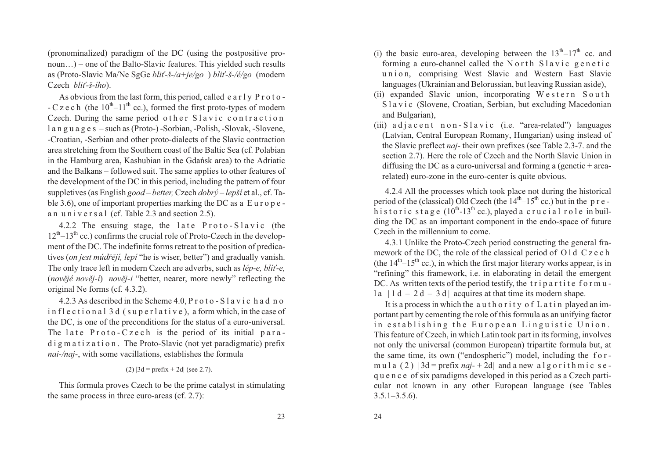(pronominalized) paradigm of the DC (using the postpositive pro noun…) – one of the Balto-Slavic features. This yielded such results as (Proto-Slavic Ma/Ne SgGe *bliž-š-/a+je/go* ) *bliž-š-/é/go* (modern Czech *bli -š-ího*).

As obvious from the last form, this period, called <sup>e</sup> <sup>a</sup> <sup>r</sup> l y P <sup>r</sup> <sup>o</sup> <sup>t</sup> <sup>o</sup> - - C z e c h (the  $10^{th}$ – $11^{th}$  cc.), formed the first proto-types of modern Czech. During the same period other Slavic contraction l <sup>a</sup> <sup>n</sup> g <sup>u</sup> <sup>a</sup> g <sup>e</sup> <sup>s</sup> – such as (Proto-) -Sorbian, -Polish, -Slovak, -Slovene, -Croatian, -Serbian and other proto-dialects of the Slavic contraction area stretching from the Southern coast of the Baltic Sea (cf. Polabian in the Hamburg area, Kashubian in the Gdañsk area) to the Adriatic and the Balkans – followed suit. The same applies to other features of the development of the DC in this period, including the pattern of four suppletives (as English *goo<sup>d</sup> – better,* Czech *dobrý – lepší* et al., cf. Ta ble 3.6), one of important properties marking the DC as <sup>a</sup> E <sup>u</sup> <sup>r</sup> <sup>o</sup> p <sup>e</sup> an universal (cf. Table 2.3 and section 2.5).

4.2.2 The ensuing stage, the late  $Proof 0 - 5$ lavic (the  $12<sup>th</sup>-13<sup>th</sup>$  cc.) confirms the crucial role of Proto-Czech in the development of the DC. The indefinite forms retreat to the position of predicatives (*on jest múdřějí, lepí* "he is wiser, better") and gradually vanish. The only trace left in modern Czech are adverbs, such as *lép-e, blíž-e,* (*novìjé novìj-í*) *novìj-i* "better, nearer, more newly" reflecting theoriginal Ne forms (cf. 4.3.2).

4.2.3 As described in the Scheme 4.0, P <sup>r</sup> <sup>o</sup> <sup>t</sup> <sup>o</sup> - S l <sup>a</sup> <sup>v</sup> i <sup>c</sup> h <sup>a</sup> d <sup>n</sup> <sup>o</sup> i <sup>n</sup> f l <sup>e</sup> <sup>c</sup> <sup>t</sup> i <sup>o</sup> <sup>n</sup> <sup>a</sup> l 3 d ( <sup>s</sup> <sup>u</sup> p <sup>e</sup> <sup>r</sup> l <sup>a</sup> <sup>t</sup> i <sup>v</sup> <sup>e</sup> ), <sup>a</sup> form which, in the case of the DC, is one of the preconditions for the status of <sup>a</sup> euro-universal. The late  $Proofo-Czech$  is the period of its initial para- $\overline{d}$  i g m a t i z a t i o n. The Proto-Slavic (not yet paradigmatic) prefix *nai-/naj-*, with some vacillations, establishes the formula

### (2)  $|3d = prefix + 2d|$  (see 2.7).

This formula proves Czech to be the prime catalyst in stimulatingthe same process in three euro-areas (cf. 2.7):

- (i) the basic euro-area, developing between the  $13<sup>th</sup>-17<sup>th</sup>$  cc. and forming a euro-channel called the North Slavic genetic union, comprising West Slavic and Western East Slavic languages (Ukrainian and Belorussian, but leaving Russian aside),
- (ii) expanded Slavic union, incorporating W e stern S o uth S l <sup>a</sup> <sup>v</sup> i <sup>c</sup> (Slovene, Croatian, Serbian, but excluding Macedonianand Bulgarian),
- (iii) a d j a c e n t n o n S l a v i c (i.e. "area-related") languages (Latvian, Central European Romany, Hungarian) using instead of the Slavic preflect *naj-* their own prefixes (see Table 2.3-7. and the section 2.7). Here the role of Czech and the North Slavic Union in diffusing the DC as <sup>a</sup> euro-universal and forming <sup>a</sup> (genetic <sup>+</sup> arearelated) euro-zone in the euro-center is quite obvious.

4.2.4 All the processes which took place not during the historicalperiod of the (classical) Old Czech (the  $14<sup>th</sup>-15<sup>th</sup>$  cc.) but in the p r e h i storic stage (10<sup>th</sup>-13<sup>th</sup> cc.), played a crucial role in building the DC as an important componen<sup>t</sup> in the endo-space of futureCzech in the millennium to come.

4.3.1 Unlike the Proto-Czech period constructing the general framework of the DC, the role of the classical period of O l d C z e c h (the  $14<sup>th</sup>-15<sup>th</sup>$  cc.), in which the first major literary works appear, is in "refining" this framework, i.e. in elaborating in detail the emergen<sup>t</sup>DC. As written texts of the period testify, the tripartite formul a  $|1 d - 2 d - 3 d|$  acquires at that time its modern shape.

It is a process in which the authority of Latin played an im portant par<sup>t</sup> by cementing the role of this formula as an unifying factorin establishing the European Linguistic Union. This feature of Czech, in which Latin took par<sup>t</sup> in its forming, involves not only the universal (common European) tripartite formula but, at the same time, its own ("endospheric") model, including the f <sup>o</sup> <sup>r</sup> m u l a  $(2)$   $|3d$  = prefix *naj*- + 2d and a new a l g o r i t h m i c s e q <sup>u</sup> <sup>e</sup> <sup>n</sup> <sup>c</sup> <sup>e</sup> of six paradigms developed in this period as <sup>a</sup> Czech parti cular not known in any other European language (see Tables $3.5.1 - 3.5.6$ .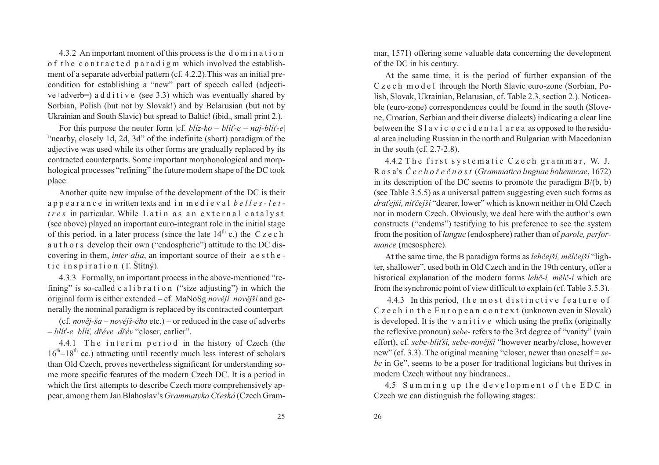4.3.2 An important moment of this process is the d <sup>o</sup> <sup>m</sup> i <sup>n</sup> <sup>a</sup> <sup>t</sup> i <sup>o</sup> <sup>n</sup> <sup>o</sup> f <sup>t</sup> h <sup>e</sup> <sup>c</sup> <sup>o</sup> <sup>n</sup> <sup>t</sup> <sup>r</sup> <sup>a</sup> <sup>c</sup> <sup>t</sup> <sup>e</sup> d p <sup>a</sup> <sup>r</sup> <sup>a</sup> d i g <sup>m</sup> which involved the establish ment of <sup>a</sup> separate adverbial pattern (cf. 4.2.2).This was an initial precondition for establishing <sup>a</sup> "new" par<sup>t</sup> of speech called (adjective+adverb=) a d d i t i v e (see 3.3) which was eventually shared by Sorbian, Polish (but not by Slovak!) and by Belarusian (but not byUkrainian and South Slavic) but spread to Baltic! (ibid., small print 2.).

For this purpose the neuter form  $|cf. bliz-ko – bli -e – naj- bli -e|$ "nearby, closely 1d, 2d, 3d" of the indefinite (short) paradigm of the adjective was used while its other forms are gradually replaced by its contracted counterparts. Some important morphonological and morp hological processes "refining" the future modern shape of the DC tookplace.

Another quite new impulse of the development of the DC is their <sup>a</sup> p p <sup>e</sup> <sup>a</sup> <sup>r</sup> <sup>a</sup> <sup>n</sup> <sup>c</sup> <sup>e</sup> in written texts and i <sup>n</sup> <sup>m</sup> <sup>e</sup> d i <sup>e</sup> <sup>v</sup> <sup>a</sup> l *b <sup>e</sup> l l <sup>e</sup> <sup>s</sup> - l <sup>e</sup> <sup>t</sup> t <sup>r</sup> <sup>e</sup> <sup>s</sup>* in particular. While <sup>L</sup> <sup>a</sup> <sup>t</sup> <sup>i</sup> <sup>n</sup> <sup>a</sup> <sup>s</sup> <sup>a</sup> <sup>n</sup> <sup>e</sup> <sup>x</sup> <sup>t</sup> <sup>e</sup> <sup>r</sup> <sup>n</sup> <sup>a</sup> <sup>l</sup> <sup>c</sup> <sup>a</sup> <sup>t</sup> <sup>a</sup> <sup>l</sup> <sup>y</sup> <sup>s</sup> <sup>t</sup> (see above) played an important euro-integrant role in the initial stageof this period, in a later process (since the late  $14<sup>th</sup>$  c.) the C z e c h <sup>a</sup> <sup>u</sup> <sup>t</sup> h <sup>o</sup> <sup>r</sup> <sup>s</sup> develop their own ("endospheric") attitude to the DC discovering in them, *inter alia*, an important source of their <sup>a</sup> <sup>e</sup> <sup>s</sup> <sup>t</sup> h <sup>e</sup> tic in spiration (T. Štítný).

4.3.3 Formally, an important process in the above-mentioned "refining" is so-called calibration ("size adjusting") in which the original form is either extended – cf. MaNoSg *novějí novější* and generally the nominal paradigm is replaced by its contracted counterpart

(cf. *nověj-ša – novějš-ého* etc.) – or reduced in the case of adverbs – *blíž-e blíž, døéve døév* "closer, earlier".

4.4.1 The interim period in the history of Czech (the  $16<sup>th</sup>-18<sup>th</sup>$  cc.) attracting until recently much less interest of scholars than Old Czech, proves nevertheless significant for understanding so me more specific features of the modern Czech DC. It is <sup>a</sup> period in which the first attempts to describe Czech more comprehensively appear, among them Jan Blahoslav's *Grammatyka C* eská (Czech Gram-

Ion in a tion<br>
of the DC in his century.<br>
of the DC in his century.<br>
All the establish-<br>
and the calibid precise of the DC in his century.<br>
All the small inter-expansion of the DC in<br>
and the North Slavic euro-zone (Sochi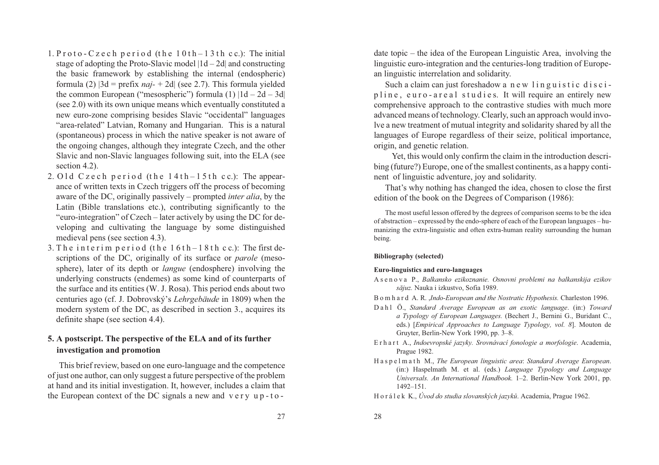- 1. P  $\mathsf{rot}\circ\mathsf{c}$  z e c h  $\mathsf{period}$  (the 10th 13th c c.): The initial stage of adopting the Proto-Slavic model  $|1d - 2d|$  and constructing the basic framework by establishing the internal (endospheric) formula (2) |3d <sup>=</sup> prefix *naj-* <sup>+</sup> 2d| (see 2.7). This formula <sup>y</sup>ielded the common European ("mesospheric") formula (1)  $|1d - 2d - 3d|$ (see 2.0) with its own unique means which eventually constituted <sup>a</sup> new euro-zone comprising besides Slavic "occidental" languages "area-related" Latvian, Romany and Hungarian. This is <sup>a</sup> natural (spontaneous) process in which the native speaker is not aware of the ongoing changes, although they integrate Czech, and the other Slavic and non-Slavic languages following suit, into the ELA (seesection 4.2).
- 2. Old Czech period (the 14th-15th cc.): The appear ance of written texts in Czech triggers off the process of becoming aware of the DC, originally passively – prompted *inter alia*, by the Latin (Bible translations etc.), contributing significantly to the "euro-integration" of Czech – later actively by using the DC for de veloping and cultivating the language by some distinguishedmedieval pens (see section 4.3).
- 3. The interim period (the  $16th-18th$  c c.): The first de scriptions of the DC, originally of its surface or *parole* (mesosphere), later of its depth or *langue* (endosphere) involving the underlying constructs (endemes) as some kind of counterparts of the surface and its entities (W. J. Rosa). This period ends about two centuries ago (cf. J. Dobrovský's *Lehrgebäude* in 1809) when the modern system of the DC, as described in section 3., acquires itsdefinite shape (see section 4.4).

# **5. A postscript. The perspective of the ELA and of its furtherinvestigation and promotion**

This brief review, based on one euro-language and the competence of just one author, can only sugges<sup>t</sup> <sup>a</sup> future perspective of the problem at hand and its initial investigation. It, however, includes <sup>a</sup> claim thatthe European context of the DC signals a new and very up-todate topic – the idea of the European Linguistic Area, involving the linguistic euro-integration and the centuries-long tradition of European linguistic interrelation and solidarity.

Such a claim can just foreshadow a new linguistic discipline, euro-areal studies. It will require an entirely new comprehensive approach to the contrastive studies with much more advanced means of technology. Clearly, such an approach would invo lve <sup>a</sup> new treatment of mutual integrity and solidarity shared by all the languages of Europe regardless of their seize, political importance, origin, and genetic relation.

Yet, this would only confirm the claim in the introduction descri bing (future?) Europe, one of the smallest continents, as <sup>a</sup> happy continent of linguistic adventure, joy and solidarity.

That's why nothing has changed the idea, chosen to close the firstedition of the book on the Degrees of Comparison (1986):

The most useful lesson offered by the degrees of comparison seems to be the idea of abstraction – expressed by the endo-sphere of each of the European languages – humanizing the extra-linguistic and often extra-human reality surrounding the humanbeing.

### **Bibliography (selected)**

#### **Euro-linguistics and euro-languages**

 A <sup>s</sup> <sup>e</sup> <sup>n</sup> <sup>o</sup> <sup>v</sup> <sup>a</sup> P., *Balkansko ezikoznanie. Osnovni problemi na balkanskija ezikovsãjuz.* Nauka i izkustvo, Sofia 1989.

<sup>B</sup> <sup>o</sup> <sup>m</sup> h <sup>a</sup> <sup>r</sup> d A. R. ,*Indo-European and the Nostratic Hypothesis.* Charleston 1996.

- <sup>D</sup> <sup>a</sup> <sup>h</sup> <sup>l</sup> Ö., *Standard Average European as an exotic language*. (in:) *Toward <sup>a</sup> Typology of European Languages.* (Bechert J., Bernini G., Buridant C., eds.) [*Empirical Approaches to Language Typology, vol. 8*]. Mouton deGruyter, Berlin-New York 1990, pp. 3–8.
- <sup>E</sup> <sup>r</sup> h <sup>a</sup> <sup>r</sup> <sup>t</sup> A., *Indoevropské jazyky. Srovnávací fonologie <sup>a</sup> morfologie*. Academia, Prague 1982.
- H <sup>a</sup> <sup>s</sup> p <sup>e</sup> l <sup>m</sup> <sup>a</sup> <sup>t</sup> h M., *The European linguistic area*: *Standard Average European*. (in:) Haspelmath M. et al. (eds.) *Language Typology and Language Universals. An International Handbook.* 1–2. Berlin-New York 2001, pp. 1492–151.

<sup>H</sup> <sup>o</sup> <sup>r</sup> <sup>á</sup> <sup>l</sup> <sup>e</sup> <sup>k</sup> K., *Úvod do studia slovanských jazykù*. Academia, Prague 1962.